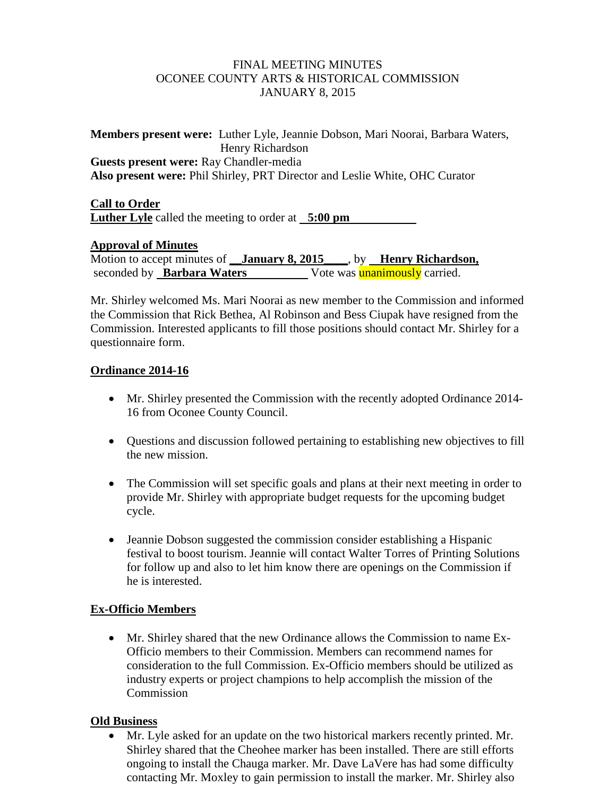#### FINAL MEETING MINUTES OCONEE COUNTY ARTS & HISTORICAL COMMISSION JANUARY 8, 2015

**Members present were:** Luther Lyle, Jeannie Dobson, Mari Noorai, Barbara Waters, Henry Richardson **Guests present were:** Ray Chandler-media **Also present were:** Phil Shirley, PRT Director and Leslie White, OHC Curator

**Call to Order Luther Lyle** called the meeting to order at **5:00 pm**

# **Approval of Minutes**

Motion to accept minutes of **\_\_January 8, 2015** \_\_\_, by **\_\_Henry Richardson,** seconded by **Barbara Waters** Vote was **unanimously** carried.

Mr. Shirley welcomed Ms. Mari Noorai as new member to the Commission and informed the Commission that Rick Bethea, Al Robinson and Bess Ciupak have resigned from the Commission. Interested applicants to fill those positions should contact Mr. Shirley for a questionnaire form.

#### **Ordinance 2014-16**

- Mr. Shirley presented the Commission with the recently adopted Ordinance 2014- 16 from Oconee County Council.
- Questions and discussion followed pertaining to establishing new objectives to fill the new mission.
- The Commission will set specific goals and plans at their next meeting in order to provide Mr. Shirley with appropriate budget requests for the upcoming budget cycle.
- Jeannie Dobson suggested the commission consider establishing a Hispanic festival to boost tourism. Jeannie will contact Walter Torres of Printing Solutions for follow up and also to let him know there are openings on the Commission if he is interested.

# **Ex-Officio Members**

• Mr. Shirley shared that the new Ordinance allows the Commission to name Ex-Officio members to their Commission. Members can recommend names for consideration to the full Commission. Ex-Officio members should be utilized as industry experts or project champions to help accomplish the mission of the **Commission** 

# **Old Business**

• Mr. Lyle asked for an update on the two historical markers recently printed. Mr. Shirley shared that the Cheohee marker has been installed. There are still efforts ongoing to install the Chauga marker. Mr. Dave LaVere has had some difficulty contacting Mr. Moxley to gain permission to install the marker. Mr. Shirley also